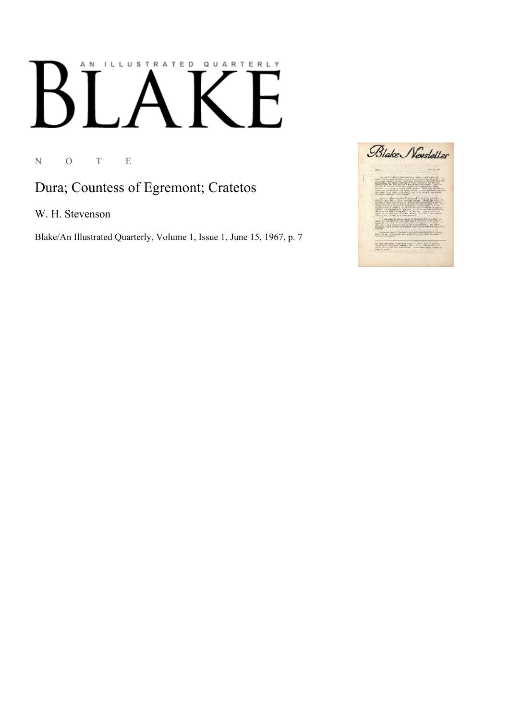## AN ILLUSTRATED QUARTERLY  $\boldsymbol{\mathsf{B}}$

N O T E

## Dura; Countess of Egremont; Cratetos

W. H. Stevenson

Blake/An Illustrated Quarterly, Volume 1, Issue 1, June 15, 1967, p. 7